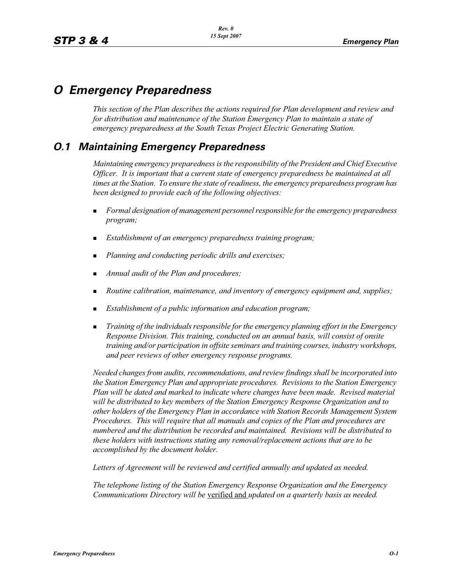# *O Emergency Preparedness*

*This section of the Plan describes the actions required for Plan development and review and for distribution and maintenance of the Station Emergency Plan to maintain a state of emergency preparedness at the South Texas Project Electric Generating Station.*

# *O.1 Maintaining Emergency Preparedness*

*Maintaining emergency preparedness is the responsibility of the President and Chief Executive Officer. It is important that a current state of emergency preparedness be maintained at all times at the Station. To ensure the state of readiness, the emergency preparedness program has been designed to provide each of the following objectives:*

- - *Formal designation of management personnel responsible for the emergency preparedness program;*
- -*Establishment of an emergency preparedness training program;*
- -*Planning and conducting periodic drills and exercises;*
- -*Annual audit of the Plan and procedures;*
- -*Routine calibration, maintenance, and inventory of emergency equipment and, supplies;*
- -*Establishment of a public information and education program;*
- - *Training of the individuals responsible for the emergency planning effort in the Emergency Response Division. This training, conducted on an annual basis, will consist of onsite training and/or participation in offsite seminars and training courses, industry workshops, and peer reviews of other emergency response programs.*

*Needed changes from audits, recommendations, and review findings shall be incorporated into the Station Emergency Plan and appropriate procedures. Revisions to the Station Emergency Plan will be dated and marked to indicate where changes have been made. Revised material will be distributed to key members of the Station Emergency Response Organization and to other holders of the Emergency Plan in accordance with Station Records Management System Procedures. This will require that all manuals and copies of the Plan and procedures are numbered and the distribution be recorded and maintained. Revisions will be distributed to these holders with instructions stating any removal/replacement actions that are to be accomplished by the document holder.*

*Letters of Agreement will be reviewed and certified annually and updated as needed.*

*The telephone listing of the Station Emergency Response Organization and the Emergency Communications Directory will be* verified and *updated on a quarterly basis as needed.*